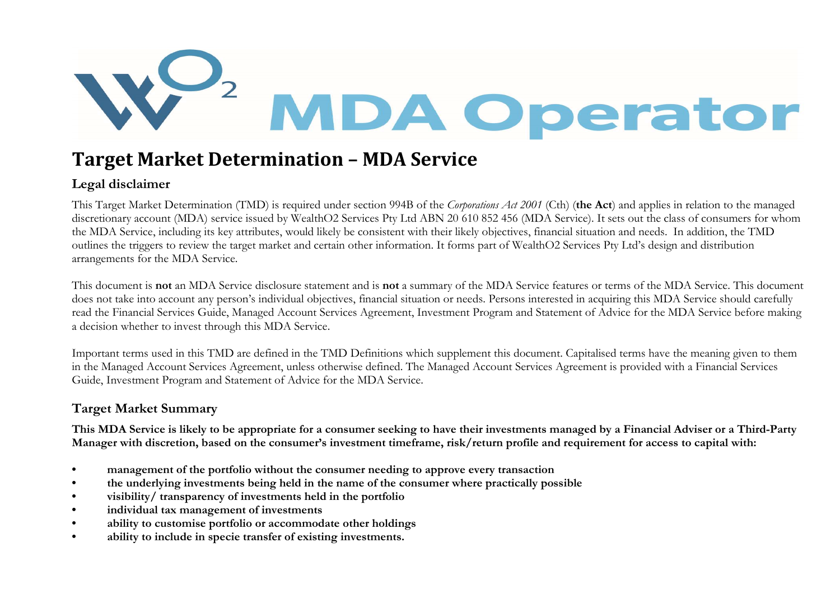

## Target Market Determination – MDA Service

## Legal disclaimer

This Target Market Determination (TMD) is required under section 994B of the Corporations Act 2001 (Cth) (the Act) and applies in relation to the managed discretionary account (MDA) service issued by WealthO2 Services Pty Ltd ABN 20 610 852 456 (MDA Service). It sets out the class of consumers for whom the MDA Service, including its key attributes, would likely be consistent with their likely objectives, financial situation and needs. In addition, the TMD outlines the triggers to review the target market and certain other information. It forms part of WealthO2 Services Pty Ltd's design and distribution arrangements for the MDA Service.

This document is not an MDA Service disclosure statement and is not a summary of the MDA Service features or terms of the MDA Service. This document does not take into account any person's individual objectives, financial situation or needs. Persons interested in acquiring this MDA Service should carefully read the Financial Services Guide, Managed Account Services Agreement, Investment Program and Statement of Advice for the MDA Service before making a decision whether to invest through this MDA Service.

Important terms used in this TMD are defined in the TMD Definitions which supplement this document. Capitalised terms have the meaning given to them in the Managed Account Services Agreement, unless otherwise defined. The Managed Account Services Agreement is provided with a Financial Services Guide, Investment Program and Statement of Advice for the MDA Service.

## Target Market Summary

This MDA Service is likely to be appropriate for a consumer seeking to have their investments managed by a Financial Adviser or a Third-Party Manager with discretion, based on the consumer's investment timeframe, risk/return profile and requirement for access to capital with:

- management of the portfolio without the consumer needing to approve every transaction
- the underlying investments being held in the name of the consumer where practically possible
- visibility/ transparency of investments held in the portfolio
- individual tax management of investments
- ability to customise portfolio or accommodate other holdings
- ability to include in specie transfer of existing investments.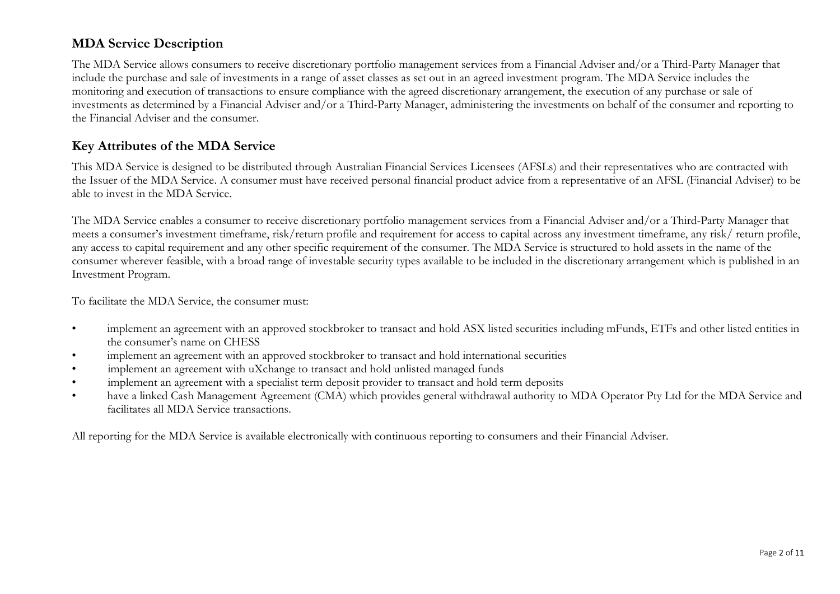## MDA Service Description

The MDA Service allows consumers to receive discretionary portfolio management services from a Financial Adviser and/or a Third-Party Manager that include the purchase and sale of investments in a range of asset classes as set out in an agreed investment program. The MDA Service includes the monitoring and execution of transactions to ensure compliance with the agreed discretionary arrangement, the execution of any purchase or sale of investments as determined by a Financial Adviser and/or a Third-Party Manager, administering the investments on behalf of the consumer and reporting to the Financial Adviser and the consumer.

## Key Attributes of the MDA Service

This MDA Service is designed to be distributed through Australian Financial Services Licensees (AFSLs) and their representatives who are contracted with the Issuer of the MDA Service. A consumer must have received personal financial product advice from a representative of an AFSL (Financial Adviser) to be able to invest in the MDA Service.

The MDA Service enables a consumer to receive discretionary portfolio management services from a Financial Adviser and/or a Third-Party Manager that meets a consumer's investment timeframe, risk/return profile and requirement for access to capital across any investment timeframe, any risk/ return profile, any access to capital requirement and any other specific requirement of the consumer. The MDA Service is structured to hold assets in the name of the consumer wherever feasible, with a broad range of investable security types available to be included in the discretionary arrangement which is published in an Investment Program.

To facilitate the MDA Service, the consumer must:

- implement an agreement with an approved stockbroker to transact and hold ASX listed securities including mFunds, ETFs and other listed entities in the consumer's name on CHESS
- implement an agreement with an approved stockbroker to transact and hold international securities
- implement an agreement with uXchange to transact and hold unlisted managed funds
- implement an agreement with a specialist term deposit provider to transact and hold term deposits
- have a linked Cash Management Agreement (CMA) which provides general withdrawal authority to MDA Operator Pty Ltd for the MDA Service and facilitates all MDA Service transactions.

All reporting for the MDA Service is available electronically with continuous reporting to consumers and their Financial Adviser.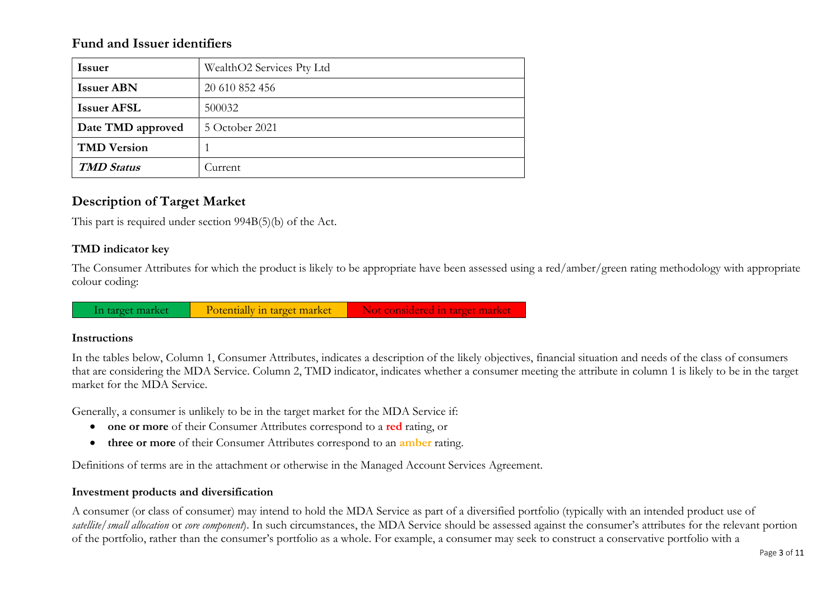### Fund and Issuer identifiers

| <b>Issuer</b>      | WealthO2 Services Pty Ltd |
|--------------------|---------------------------|
| <b>Issuer ABN</b>  | 20 610 852 456            |
| <b>Issuer AFSL</b> | 500032                    |
| Date TMD approved  | 5 October 2021            |
| <b>TMD Version</b> |                           |
| <b>TMD Status</b>  | Durrent.                  |

## Description of Target Market

This part is required under section 994B(5)(b) of the Act.

#### TMD indicator key

The Consumer Attributes for which the product is likely to be appropriate have been assessed using a red/amber/green rating methodology with appropriate colour coding:

In target market Potentially in target market Not considered in target market

#### Instructions

In the tables below, Column 1, Consumer Attributes, indicates a description of the likely objectives, financial situation and needs of the class of consumers that are considering the MDA Service. Column 2, TMD indicator, indicates whether a consumer meeting the attribute in column 1 is likely to be in the target market for the MDA Service.

Generally, a consumer is unlikely to be in the target market for the MDA Service if:

- one or more of their Consumer Attributes correspond to a red rating, or
- three or more of their Consumer Attributes correspond to an *amber* rating.

Definitions of terms are in the attachment or otherwise in the Managed Account Services Agreement.

#### Investment products and diversification

A consumer (or class of consumer) may intend to hold the MDA Service as part of a diversified portfolio (typically with an intended product use of satellite/small allocation or core component). In such circumstances, the MDA Service should be assessed against the consumer's attributes for the relevant portion of the portfolio, rather than the consumer's portfolio as a whole. For example, a consumer may seek to construct a conservative portfolio with a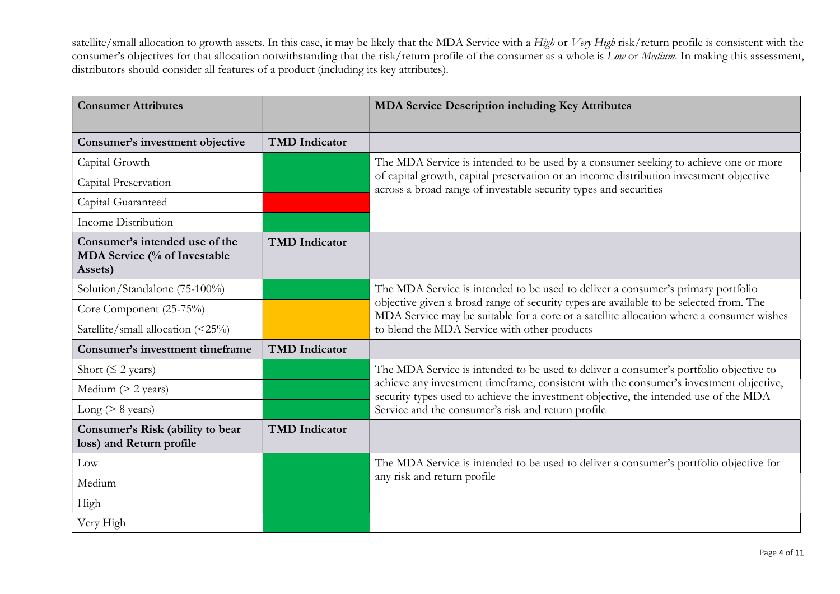satellite/small allocation to growth assets. In this case, it may be likely that the MDA Service with a High or Very High risk/return profile is consistent with the consumer's objectives for that allocation notwithstanding that the risk/return profile of the consumer as a whole is Low or Medium. In making this assessment, distributors should consider all features of a product (including its key attributes).

| <b>Consumer Attributes</b>                                                |                      | <b>MDA Service Description including Key Attributes</b>                                                                                                                                                                                                                                                                |  |
|---------------------------------------------------------------------------|----------------------|------------------------------------------------------------------------------------------------------------------------------------------------------------------------------------------------------------------------------------------------------------------------------------------------------------------------|--|
| Consumer's investment objective                                           | <b>TMD</b> Indicator |                                                                                                                                                                                                                                                                                                                        |  |
| Capital Growth                                                            |                      | The MDA Service is intended to be used by a consumer seeking to achieve one or more                                                                                                                                                                                                                                    |  |
| Capital Preservation                                                      |                      | of capital growth, capital preservation or an income distribution investment objective<br>across a broad range of investable security types and securities                                                                                                                                                             |  |
| Capital Guaranteed                                                        |                      |                                                                                                                                                                                                                                                                                                                        |  |
| <b>Income Distribution</b>                                                |                      |                                                                                                                                                                                                                                                                                                                        |  |
| Consumer's intended use of the<br>MDA Service (% of Investable<br>Assets) | <b>TMD</b> Indicator |                                                                                                                                                                                                                                                                                                                        |  |
| Solution/Standalone (75-100%)                                             |                      | The MDA Service is intended to be used to deliver a consumer's primary portfolio<br>objective given a broad range of security types are available to be selected from. The<br>MDA Service may be suitable for a core or a satellite allocation where a consumer wishes<br>to blend the MDA Service with other products |  |
| Core Component (25-75%)                                                   |                      |                                                                                                                                                                                                                                                                                                                        |  |
| Satellite/small allocation (<25%)                                         |                      |                                                                                                                                                                                                                                                                                                                        |  |
| Consumer's investment timeframe                                           | <b>TMD</b> Indicator |                                                                                                                                                                                                                                                                                                                        |  |
| Short ( $\leq$ 2 years)                                                   |                      | The MDA Service is intended to be used to deliver a consumer's portfolio objective to                                                                                                                                                                                                                                  |  |
| Medium $(> 2 \text{ years})$                                              |                      | achieve any investment timeframe, consistent with the consumer's investment objective,<br>security types used to achieve the investment objective, the intended use of the MDA                                                                                                                                         |  |
| Long ( $> 8$ years)                                                       |                      | Service and the consumer's risk and return profile                                                                                                                                                                                                                                                                     |  |
| Consumer's Risk (ability to bear<br>loss) and Return profile              | <b>TMD</b> Indicator |                                                                                                                                                                                                                                                                                                                        |  |
| Low                                                                       |                      | The MDA Service is intended to be used to deliver a consumer's portfolio objective for                                                                                                                                                                                                                                 |  |
| Medium                                                                    |                      | any risk and return profile                                                                                                                                                                                                                                                                                            |  |
| High                                                                      |                      |                                                                                                                                                                                                                                                                                                                        |  |
| Very High                                                                 |                      |                                                                                                                                                                                                                                                                                                                        |  |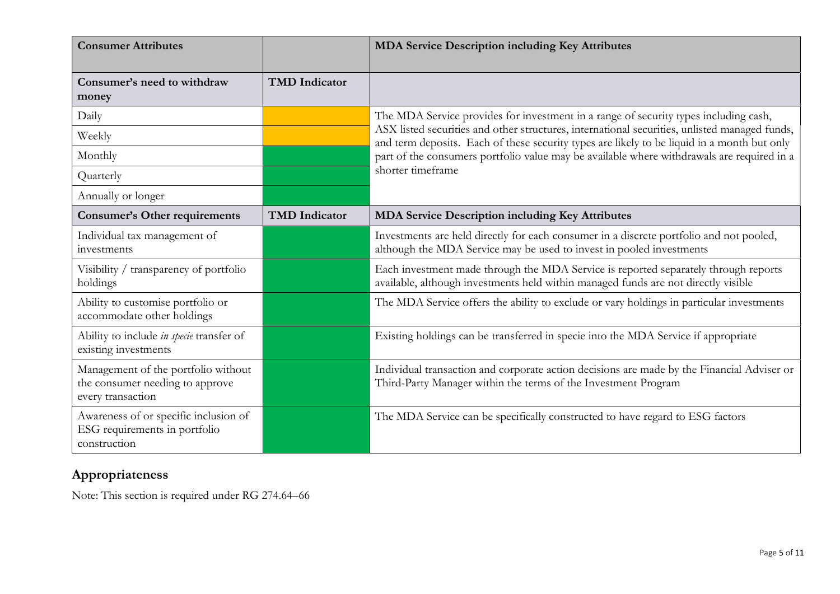| <b>Consumer Attributes</b>                                                                  |                      | <b>MDA Service Description including Key Attributes</b>                                                                                                                                      |
|---------------------------------------------------------------------------------------------|----------------------|----------------------------------------------------------------------------------------------------------------------------------------------------------------------------------------------|
| Consumer's need to withdraw<br>money                                                        | <b>TMD</b> Indicator |                                                                                                                                                                                              |
| Daily                                                                                       |                      | The MDA Service provides for investment in a range of security types including cash,                                                                                                         |
| Weekly                                                                                      |                      | ASX listed securities and other structures, international securities, unlisted managed funds,<br>and term deposits. Each of these security types are likely to be liquid in a month but only |
| Monthly                                                                                     |                      | part of the consumers portfolio value may be available where withdrawals are required in a                                                                                                   |
| Quarterly                                                                                   |                      | shorter timeframe                                                                                                                                                                            |
| Annually or longer                                                                          |                      |                                                                                                                                                                                              |
| <b>Consumer's Other requirements</b>                                                        | <b>TMD</b> Indicator | <b>MDA Service Description including Key Attributes</b>                                                                                                                                      |
| Individual tax management of<br>investments                                                 |                      | Investments are held directly for each consumer in a discrete portfolio and not pooled,<br>although the MDA Service may be used to invest in pooled investments                              |
| Visibility / transparency of portfolio<br>holdings                                          |                      | Each investment made through the MDA Service is reported separately through reports<br>available, although investments held within managed funds are not directly visible                    |
| Ability to customise portfolio or<br>accommodate other holdings                             |                      | The MDA Service offers the ability to exclude or vary holdings in particular investments                                                                                                     |
| Ability to include in specie transfer of<br>existing investments                            |                      | Existing holdings can be transferred in specie into the MDA Service if appropriate                                                                                                           |
| Management of the portfolio without<br>the consumer needing to approve<br>every transaction |                      | Individual transaction and corporate action decisions are made by the Financial Adviser or<br>Third-Party Manager within the terms of the Investment Program                                 |
| Awareness of or specific inclusion of<br>ESG requirements in portfolio<br>construction      |                      | The MDA Service can be specifically constructed to have regard to ESG factors                                                                                                                |

## Appropriateness

Note: This section is required under RG 274.64–66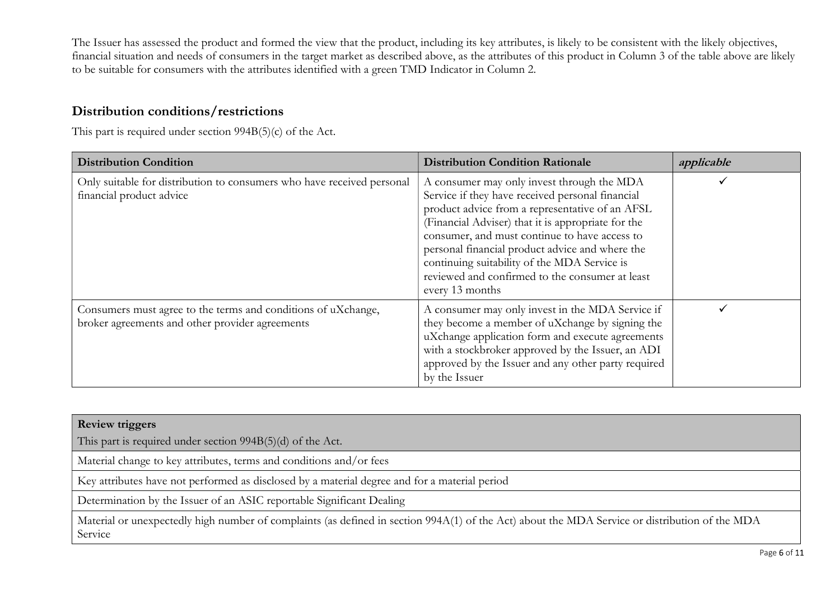The Issuer has assessed the product and formed the view that the product, including its key attributes, is likely to be consistent with the likely objectives, financial situation and needs of consumers in the target market as described above, as the attributes of this product in Column 3 of the table above are likely to be suitable for consumers with the attributes identified with a green TMD Indicator in Column 2.

## Distribution conditions/restrictions

This part is required under section 994B(5)(c) of the Act.

| <b>Distribution Condition</b>                                                                                    | <b>Distribution Condition Rationale</b>                                                                                                                                                                                                                                                                                                                                                                                           | applicable |
|------------------------------------------------------------------------------------------------------------------|-----------------------------------------------------------------------------------------------------------------------------------------------------------------------------------------------------------------------------------------------------------------------------------------------------------------------------------------------------------------------------------------------------------------------------------|------------|
| Only suitable for distribution to consumers who have received personal<br>financial product advice               | A consumer may only invest through the MDA<br>Service if they have received personal financial<br>product advice from a representative of an AFSL<br>(Financial Adviser) that it is appropriate for the<br>consumer, and must continue to have access to<br>personal financial product advice and where the<br>continuing suitability of the MDA Service is<br>reviewed and confirmed to the consumer at least<br>every 13 months |            |
| Consumers must agree to the terms and conditions of uXchange,<br>broker agreements and other provider agreements | A consumer may only invest in the MDA Service if<br>they become a member of uXchange by signing the<br>uXchange application form and execute agreements<br>with a stockbroker approved by the Issuer, an ADI<br>approved by the Issuer and any other party required<br>by the Issuer                                                                                                                                              |            |

| <b>Review triggers</b>                                                                                                                                    |
|-----------------------------------------------------------------------------------------------------------------------------------------------------------|
| This part is required under section $994B(5)(d)$ of the Act.                                                                                              |
| Material change to key attributes, terms and conditions and/or fees                                                                                       |
| Key attributes have not performed as disclosed by a material degree and for a material period                                                             |
| Determination by the Issuer of an ASIC reportable Significant Dealing                                                                                     |
| Material or unexpectedly high number of complaints (as defined in section 994A(1) of the Act) about the MDA Service or distribution of the MDA<br>Service |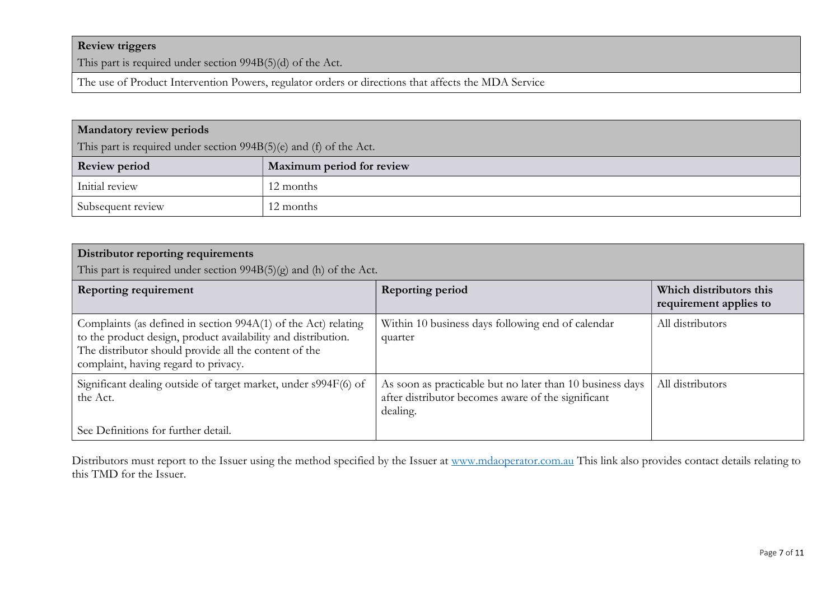### Review triggers

This part is required under section 994B(5)(d) of the Act.

The use of Product Intervention Powers, regulator orders or directions that affects the MDA Service

| <b>Mandatory review periods</b><br>This part is required under section $994B(5)(e)$ and (f) of the Act. |                           |
|---------------------------------------------------------------------------------------------------------|---------------------------|
| <b>Review period</b>                                                                                    | Maximum period for review |
| Initial review                                                                                          | 12 months                 |
| Subsequent review                                                                                       | 12 months                 |

| Distributor reporting requirements<br>This part is required under section $994B(5)(g)$ and (h) of the Act.                                                                                                                       |                                                                                                                             |                                                   |
|----------------------------------------------------------------------------------------------------------------------------------------------------------------------------------------------------------------------------------|-----------------------------------------------------------------------------------------------------------------------------|---------------------------------------------------|
| <b>Reporting requirement</b>                                                                                                                                                                                                     | <b>Reporting period</b>                                                                                                     | Which distributors this<br>requirement applies to |
| Complaints (as defined in section 994A(1) of the Act) relating<br>to the product design, product availability and distribution.<br>The distributor should provide all the content of the<br>complaint, having regard to privacy. | Within 10 business days following end of calendar<br>quarter                                                                | All distributors                                  |
| Significant dealing outside of target market, under s994F(6) of<br>the Act.                                                                                                                                                      | As soon as practicable but no later than 10 business days<br>after distributor becomes aware of the significant<br>dealing. | All distributors                                  |
| See Definitions for further detail.                                                                                                                                                                                              |                                                                                                                             |                                                   |

Distributors must report to the Issuer using the method specified by the Issuer at www.mdaoperator.com.au This link also provides contact details relating to this TMD for the Issuer.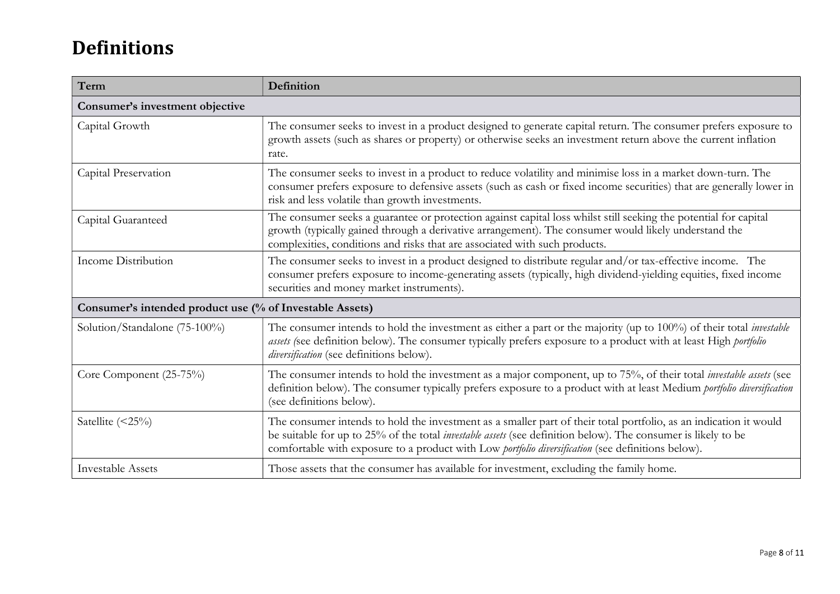# Definitions

| Term                                                     | Definition                                                                                                                                                                                                                                                                                                                                      |  |  |
|----------------------------------------------------------|-------------------------------------------------------------------------------------------------------------------------------------------------------------------------------------------------------------------------------------------------------------------------------------------------------------------------------------------------|--|--|
| Consumer's investment objective                          |                                                                                                                                                                                                                                                                                                                                                 |  |  |
| Capital Growth                                           | The consumer seeks to invest in a product designed to generate capital return. The consumer prefers exposure to<br>growth assets (such as shares or property) or otherwise seeks an investment return above the current inflation<br>rate.                                                                                                      |  |  |
| Capital Preservation                                     | The consumer seeks to invest in a product to reduce volatility and minimise loss in a market down-turn. The<br>consumer prefers exposure to defensive assets (such as cash or fixed income securities) that are generally lower in<br>risk and less volatile than growth investments.                                                           |  |  |
| Capital Guaranteed                                       | The consumer seeks a guarantee or protection against capital loss whilst still seeking the potential for capital<br>growth (typically gained through a derivative arrangement). The consumer would likely understand the<br>complexities, conditions and risks that are associated with such products.                                          |  |  |
| Income Distribution                                      | The consumer seeks to invest in a product designed to distribute regular and/or tax-effective income. The<br>consumer prefers exposure to income-generating assets (typically, high dividend-yielding equities, fixed income<br>securities and money market instruments).                                                                       |  |  |
| Consumer's intended product use (% of Investable Assets) |                                                                                                                                                                                                                                                                                                                                                 |  |  |
| Solution/Standalone (75-100%)                            | The consumer intends to hold the investment as either a part or the majority (up to 100%) of their total <i>investable</i><br>assets (see definition below). The consumer typically prefers exposure to a product with at least High portfolio<br>diversification (see definitions below).                                                      |  |  |
| Core Component (25-75%)                                  | The consumer intends to hold the investment as a major component, up to 75%, of their total <i>investable assets</i> (see<br>definition below). The consumer typically prefers exposure to a product with at least Medium portfolio diversification<br>(see definitions below).                                                                 |  |  |
| Satellite (<25%)                                         | The consumer intends to hold the investment as a smaller part of their total portfolio, as an indication it would<br>be suitable for up to 25% of the total <i>investable assets</i> (see definition below). The consumer is likely to be<br>comfortable with exposure to a product with Low portfolio diversification (see definitions below). |  |  |
| <b>Investable Assets</b>                                 | Those assets that the consumer has available for investment, excluding the family home.                                                                                                                                                                                                                                                         |  |  |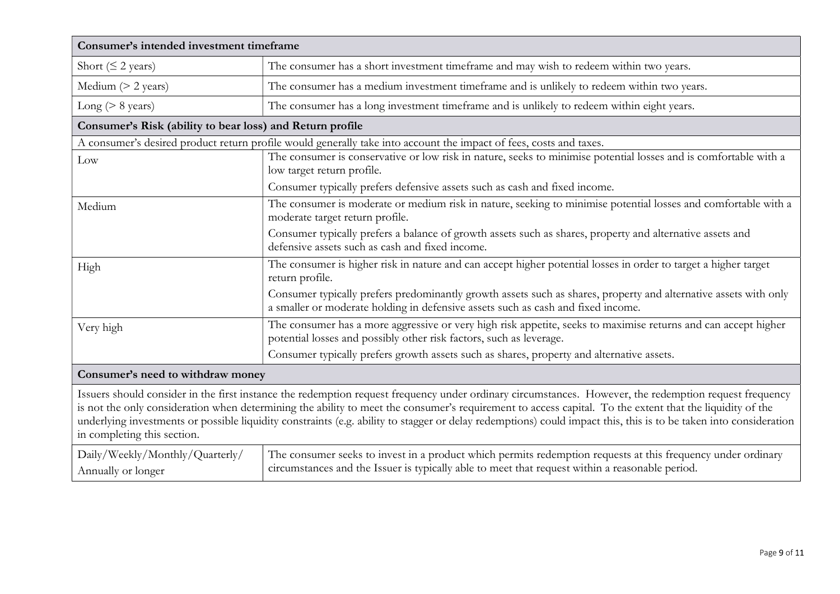| Consumer's intended investment timeframe                                                                                                                                                                                                                                                                                                                                                                                                                                                                               |                                                                                                                                                                                                                 |  |
|------------------------------------------------------------------------------------------------------------------------------------------------------------------------------------------------------------------------------------------------------------------------------------------------------------------------------------------------------------------------------------------------------------------------------------------------------------------------------------------------------------------------|-----------------------------------------------------------------------------------------------------------------------------------------------------------------------------------------------------------------|--|
| Short ( $\leq$ 2 years)                                                                                                                                                                                                                                                                                                                                                                                                                                                                                                | The consumer has a short investment timeframe and may wish to redeem within two years.                                                                                                                          |  |
| Medium $(> 2 \text{ years})$                                                                                                                                                                                                                                                                                                                                                                                                                                                                                           | The consumer has a medium investment timeframe and is unlikely to redeem within two years.                                                                                                                      |  |
| Long ( $> 8$ years)                                                                                                                                                                                                                                                                                                                                                                                                                                                                                                    | The consumer has a long investment timeframe and is unlikely to redeem within eight years.                                                                                                                      |  |
| Consumer's Risk (ability to bear loss) and Return profile                                                                                                                                                                                                                                                                                                                                                                                                                                                              |                                                                                                                                                                                                                 |  |
|                                                                                                                                                                                                                                                                                                                                                                                                                                                                                                                        | A consumer's desired product return profile would generally take into account the impact of fees, costs and taxes.                                                                                              |  |
| Low                                                                                                                                                                                                                                                                                                                                                                                                                                                                                                                    | The consumer is conservative or low risk in nature, seeks to minimise potential losses and is comfortable with a<br>low target return profile.                                                                  |  |
|                                                                                                                                                                                                                                                                                                                                                                                                                                                                                                                        | Consumer typically prefers defensive assets such as cash and fixed income.                                                                                                                                      |  |
| Medium                                                                                                                                                                                                                                                                                                                                                                                                                                                                                                                 | The consumer is moderate or medium risk in nature, seeking to minimise potential losses and comfortable with a<br>moderate target return profile.                                                               |  |
|                                                                                                                                                                                                                                                                                                                                                                                                                                                                                                                        | Consumer typically prefers a balance of growth assets such as shares, property and alternative assets and<br>defensive assets such as cash and fixed income.                                                    |  |
| High                                                                                                                                                                                                                                                                                                                                                                                                                                                                                                                   | The consumer is higher risk in nature and can accept higher potential losses in order to target a higher target<br>return profile.                                                                              |  |
|                                                                                                                                                                                                                                                                                                                                                                                                                                                                                                                        | Consumer typically prefers predominantly growth assets such as shares, property and alternative assets with only<br>a smaller or moderate holding in defensive assets such as cash and fixed income.            |  |
| Very high                                                                                                                                                                                                                                                                                                                                                                                                                                                                                                              | The consumer has a more aggressive or very high risk appetite, seeks to maximise returns and can accept higher<br>potential losses and possibly other risk factors, such as leverage.                           |  |
|                                                                                                                                                                                                                                                                                                                                                                                                                                                                                                                        | Consumer typically prefers growth assets such as shares, property and alternative assets.                                                                                                                       |  |
| Consumer's need to withdraw money                                                                                                                                                                                                                                                                                                                                                                                                                                                                                      |                                                                                                                                                                                                                 |  |
| Issuers should consider in the first instance the redemption request frequency under ordinary circumstances. However, the redemption request frequency<br>is not the only consideration when determining the ability to meet the consumer's requirement to access capital. To the extent that the liquidity of the<br>underlying investments or possible liquidity constraints (e.g. ability to stagger or delay redemptions) could impact this, this is to be taken into consideration<br>in completing this section. |                                                                                                                                                                                                                 |  |
| Daily/Weekly/Monthly/Quarterly/<br>Annually or longer                                                                                                                                                                                                                                                                                                                                                                                                                                                                  | The consumer seeks to invest in a product which permits redemption requests at this frequency under ordinary<br>circumstances and the Issuer is typically able to meet that request within a reasonable period. |  |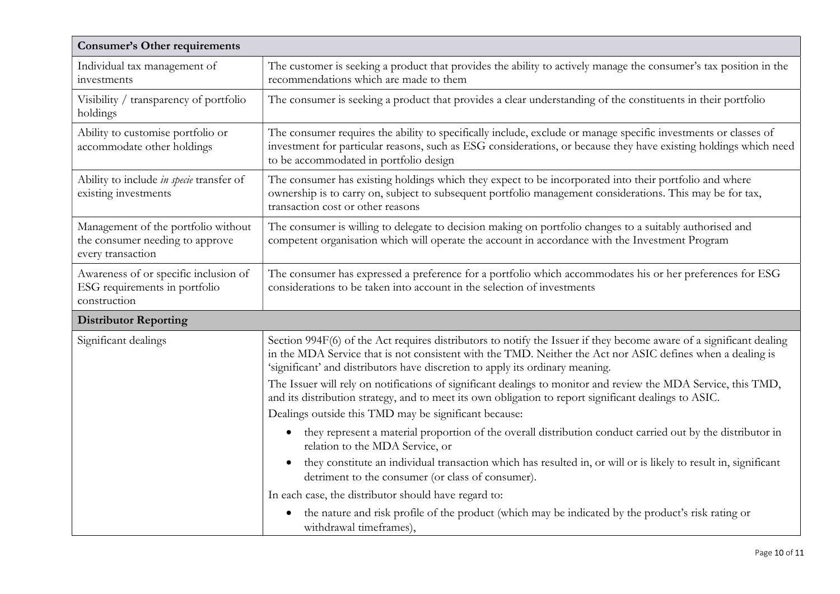| <b>Consumer's Other requirements</b>                                                        |                                                                                                                                                                                                                                                                                                                    |  |
|---------------------------------------------------------------------------------------------|--------------------------------------------------------------------------------------------------------------------------------------------------------------------------------------------------------------------------------------------------------------------------------------------------------------------|--|
| Individual tax management of<br>investments                                                 | The customer is seeking a product that provides the ability to actively manage the consumer's tax position in the<br>recommendations which are made to them                                                                                                                                                        |  |
| Visibility / transparency of portfolio<br>holdings                                          | The consumer is seeking a product that provides a clear understanding of the constituents in their portfolio                                                                                                                                                                                                       |  |
| Ability to customise portfolio or<br>accommodate other holdings                             | The consumer requires the ability to specifically include, exclude or manage specific investments or classes of<br>investment for particular reasons, such as ESG considerations, or because they have existing holdings which need<br>to be accommodated in portfolio design                                      |  |
| Ability to include in specie transfer of<br>existing investments                            | The consumer has existing holdings which they expect to be incorporated into their portfolio and where<br>ownership is to carry on, subject to subsequent portfolio management considerations. This may be for tax,<br>transaction cost or other reasons                                                           |  |
| Management of the portfolio without<br>the consumer needing to approve<br>every transaction | The consumer is willing to delegate to decision making on portfolio changes to a suitably authorised and<br>competent organisation which will operate the account in accordance with the Investment Program                                                                                                        |  |
| Awareness of or specific inclusion of<br>ESG requirements in portfolio<br>construction      | The consumer has expressed a preference for a portfolio which accommodates his or her preferences for ESG<br>considerations to be taken into account in the selection of investments                                                                                                                               |  |
| <b>Distributor Reporting</b>                                                                |                                                                                                                                                                                                                                                                                                                    |  |
| Significant dealings                                                                        | Section 994F(6) of the Act requires distributors to notify the Issuer if they become aware of a significant dealing<br>in the MDA Service that is not consistent with the TMD. Neither the Act nor ASIC defines when a dealing is<br>'significant' and distributors have discretion to apply its ordinary meaning. |  |
|                                                                                             | The Issuer will rely on notifications of significant dealings to monitor and review the MDA Service, this TMD,<br>and its distribution strategy, and to meet its own obligation to report significant dealings to ASIC.                                                                                            |  |
|                                                                                             | Dealings outside this TMD may be significant because:                                                                                                                                                                                                                                                              |  |
|                                                                                             | they represent a material proportion of the overall distribution conduct carried out by the distributor in<br>$\bullet$<br>relation to the MDA Service, or                                                                                                                                                         |  |
|                                                                                             | they constitute an individual transaction which has resulted in, or will or is likely to result in, significant<br>detriment to the consumer (or class of consumer).                                                                                                                                               |  |
|                                                                                             | In each case, the distributor should have regard to:                                                                                                                                                                                                                                                               |  |
|                                                                                             | the nature and risk profile of the product (which may be indicated by the product's risk rating or<br>$\bullet$<br>withdrawal timeframes),                                                                                                                                                                         |  |